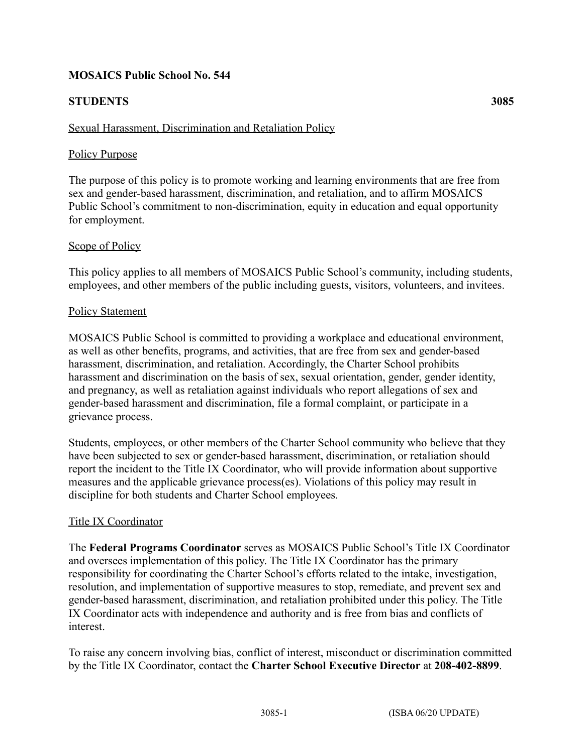# **MOSAICS Public School No. 544**

# **STUDENTS 3085**

# Sexual Harassment, Discrimination and Retaliation Policy

### Policy Purpose

The purpose of this policy is to promote working and learning environments that are free from sex and gender-based harassment, discrimination, and retaliation, and to affirm MOSAICS Public School's commitment to non-discrimination, equity in education and equal opportunity for employment.

### Scope of Policy

This policy applies to all members of MOSAICS Public School's community, including students, employees, and other members of the public including guests, visitors, volunteers, and invitees.

### Policy Statement

MOSAICS Public School is committed to providing a workplace and educational environment, as well as other benefits, programs, and activities, that are free from sex and gender-based harassment, discrimination, and retaliation. Accordingly, the Charter School prohibits harassment and discrimination on the basis of sex, sexual orientation, gender, gender identity, and pregnancy, as well as retaliation against individuals who report allegations of sex and gender-based harassment and discrimination, file a formal complaint, or participate in a grievance process.

Students, employees, or other members of the Charter School community who believe that they have been subjected to sex or gender-based harassment, discrimination, or retaliation should report the incident to the Title IX Coordinator, who will provide information about supportive measures and the applicable grievance process(es). Violations of this policy may result in discipline for both students and Charter School employees.

### Title IX Coordinator

The **Federal Programs Coordinator** serves as MOSAICS Public School's Title IX Coordinator and oversees implementation of this policy. The Title IX Coordinator has the primary responsibility for coordinating the Charter School's efforts related to the intake, investigation, resolution, and implementation of supportive measures to stop, remediate, and prevent sex and gender-based harassment, discrimination, and retaliation prohibited under this policy. The Title IX Coordinator acts with independence and authority and is free from bias and conflicts of interest.

To raise any concern involving bias, conflict of interest, misconduct or discrimination committed by the Title IX Coordinator, contact the **Charter School Executive Director** at **208-402-8899**.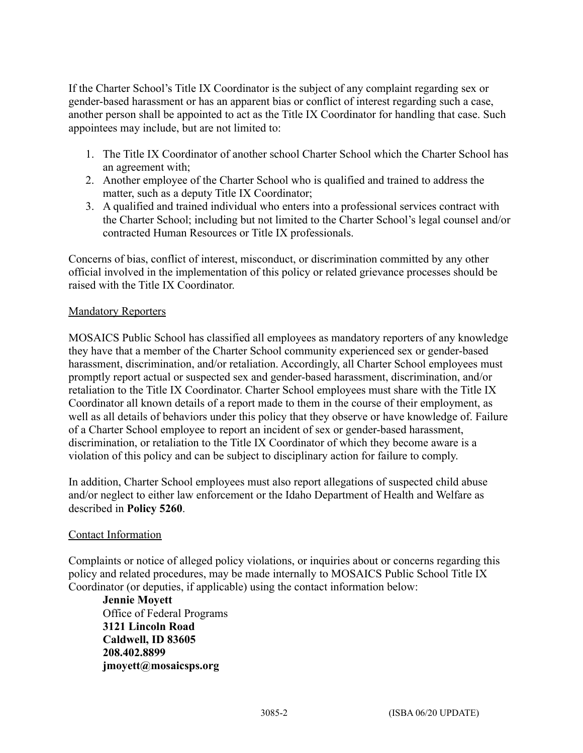If the Charter School's Title IX Coordinator is the subject of any complaint regarding sex or gender-based harassment or has an apparent bias or conflict of interest regarding such a case, another person shall be appointed to act as the Title IX Coordinator for handling that case. Such appointees may include, but are not limited to:

- 1. The Title IX Coordinator of another school Charter School which the Charter School has an agreement with;
- 2. Another employee of the Charter School who is qualified and trained to address the matter, such as a deputy Title IX Coordinator;
- 3. A qualified and trained individual who enters into a professional services contract with the Charter School; including but not limited to the Charter School's legal counsel and/or contracted Human Resources or Title IX professionals.

Concerns of bias, conflict of interest, misconduct, or discrimination committed by any other official involved in the implementation of this policy or related grievance processes should be raised with the Title IX Coordinator.

## Mandatory Reporters

MOSAICS Public School has classified all employees as mandatory reporters of any knowledge they have that a member of the Charter School community experienced sex or gender-based harassment, discrimination, and/or retaliation. Accordingly, all Charter School employees must promptly report actual or suspected sex and gender-based harassment, discrimination, and/or retaliation to the Title IX Coordinator. Charter School employees must share with the Title IX Coordinator all known details of a report made to them in the course of their employment, as well as all details of behaviors under this policy that they observe or have knowledge of. Failure of a Charter School employee to report an incident of sex or gender-based harassment, discrimination, or retaliation to the Title IX Coordinator of which they become aware is a violation of this policy and can be subject to disciplinary action for failure to comply.

In addition, Charter School employees must also report allegations of suspected child abuse and/or neglect to either law enforcement or the Idaho Department of Health and Welfare as described in **Policy 5260**.

## Contact Information

Complaints or notice of alleged policy violations, or inquiries about or concerns regarding this policy and related procedures, may be made internally to MOSAICS Public School Title IX Coordinator (or deputies, if applicable) using the contact information below:

**Jennie Moyett** Office of Federal Programs **3121 Lincoln Road Caldwell, ID 83605 208.402.8899 jmoyett@mosaicsps.org**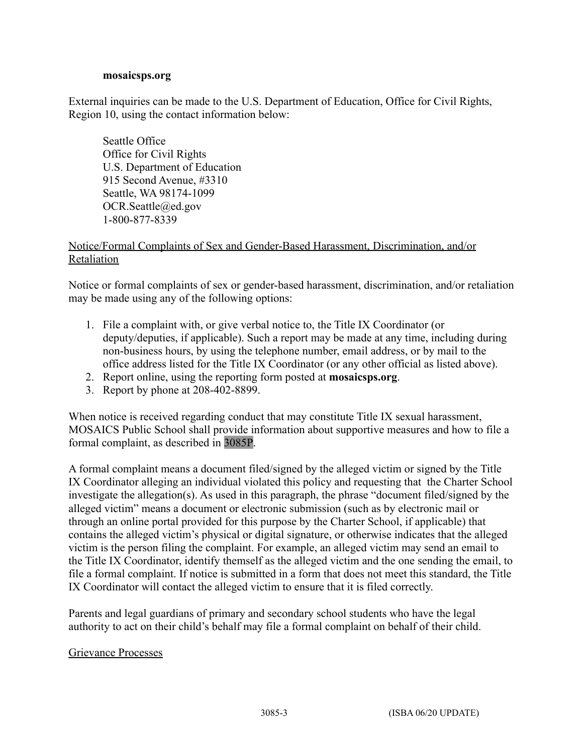#### **mosaicsps.org**

External inquiries can be made to the U.S. Department of Education, Office for Civil Rights, Region 10, using the contact information below:

Seattle Office Office for Civil Rights U.S. Department of Education 915 Second Avenue, #3310 Seattle, WA 98174-1099 OCR.Seattle@ed.gov 1-800-877-8339

## Notice/Formal Complaints of Sex and Gender-Based Harassment, Discrimination, and/or Retaliation

Notice or formal complaints of sex or gender-based harassment, discrimination, and/or retaliation may be made using any of the following options:

- 1. File a complaint with, or give verbal notice to, the Title IX Coordinator (or deputy/deputies, if applicable). Such a report may be made at any time, including during non-business hours, by using the telephone number, email address, or by mail to the office address listed for the Title IX Coordinator (or any other official as listed above).
- 2. Report online, using the reporting form posted at **mosaicsps.org**.
- 3. Report by phone at 208-402-8899.

When notice is received regarding conduct that may constitute Title IX sexual harassment, MOSAICS Public School shall provide information about supportive measures and how to file a formal complaint, as described in 3085P.

A formal complaint means a document filed/signed by the alleged victim or signed by the Title IX Coordinator alleging an individual violated this policy and requesting that the Charter School investigate the allegation(s). As used in this paragraph, the phrase "document filed/signed by the alleged victim" means a document or electronic submission (such as by electronic mail or through an online portal provided for this purpose by the Charter School, if applicable) that contains the alleged victim's physical or digital signature, or otherwise indicates that the alleged victim is the person filing the complaint. For example, an alleged victim may send an email to the Title IX Coordinator, identify themself as the alleged victim and the one sending the email, to file a formal complaint. If notice is submitted in a form that does not meet this standard, the Title IX Coordinator will contact the alleged victim to ensure that it is filed correctly.

Parents and legal guardians of primary and secondary school students who have the legal authority to act on their child's behalf may file a formal complaint on behalf of their child.

#### Grievance Processes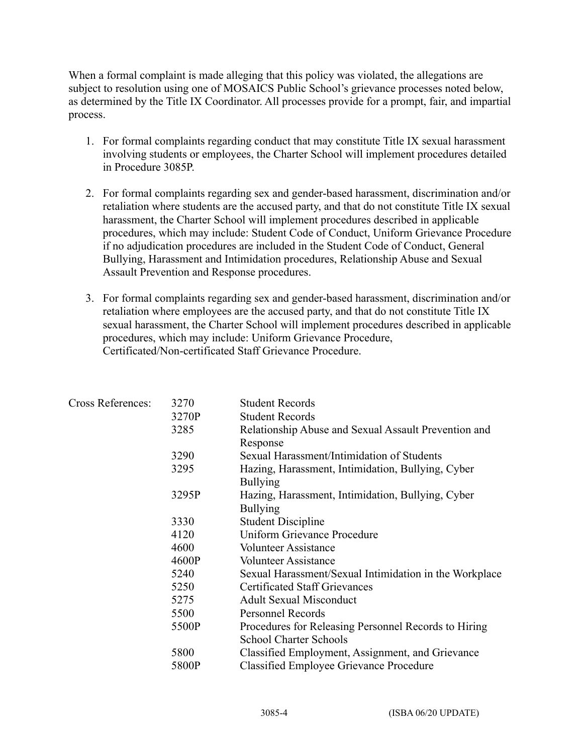When a formal complaint is made alleging that this policy was violated, the allegations are subject to resolution using one of MOSAICS Public School's grievance processes noted below, as determined by the Title IX Coordinator. All processes provide for a prompt, fair, and impartial process.

- 1. For formal complaints regarding conduct that may constitute Title IX sexual harassment involving students or employees, the Charter School will implement procedures detailed in Procedure 3085P.
- 2. For formal complaints regarding sex and gender-based harassment, discrimination and/or retaliation where students are the accused party, and that do not constitute Title IX sexual harassment, the Charter School will implement procedures described in applicable procedures, which may include: Student Code of Conduct, Uniform Grievance Procedure if no adjudication procedures are included in the Student Code of Conduct, General Bullying, Harassment and Intimidation procedures, Relationship Abuse and Sexual Assault Prevention and Response procedures.
- 3. For formal complaints regarding sex and gender-based harassment, discrimination and/or retaliation where employees are the accused party, and that do not constitute Title IX sexual harassment, the Charter School will implement procedures described in applicable procedures, which may include: Uniform Grievance Procedure, Certificated/Non-certificated Staff Grievance Procedure.

| Cross References: | 3270  | <b>Student Records</b>                                 |
|-------------------|-------|--------------------------------------------------------|
|                   | 3270P | <b>Student Records</b>                                 |
|                   | 3285  | Relationship Abuse and Sexual Assault Prevention and   |
|                   |       | Response                                               |
|                   | 3290  | Sexual Harassment/Intimidation of Students             |
|                   | 3295  | Hazing, Harassment, Intimidation, Bullying, Cyber      |
|                   |       | <b>Bullying</b>                                        |
|                   | 3295P | Hazing, Harassment, Intimidation, Bullying, Cyber      |
|                   |       | <b>Bullying</b>                                        |
|                   | 3330  | <b>Student Discipline</b>                              |
|                   | 4120  | Uniform Grievance Procedure                            |
|                   | 4600  | <b>Volunteer Assistance</b>                            |
|                   | 4600P | <b>Volunteer Assistance</b>                            |
|                   | 5240  | Sexual Harassment/Sexual Intimidation in the Workplace |
|                   | 5250  | <b>Certificated Staff Grievances</b>                   |
|                   | 5275  | <b>Adult Sexual Misconduct</b>                         |
|                   | 5500  | Personnel Records                                      |
|                   | 5500P | Procedures for Releasing Personnel Records to Hiring   |
|                   |       | <b>School Charter Schools</b>                          |
|                   | 5800  | Classified Employment, Assignment, and Grievance       |
|                   | 5800P | <b>Classified Employee Grievance Procedure</b>         |